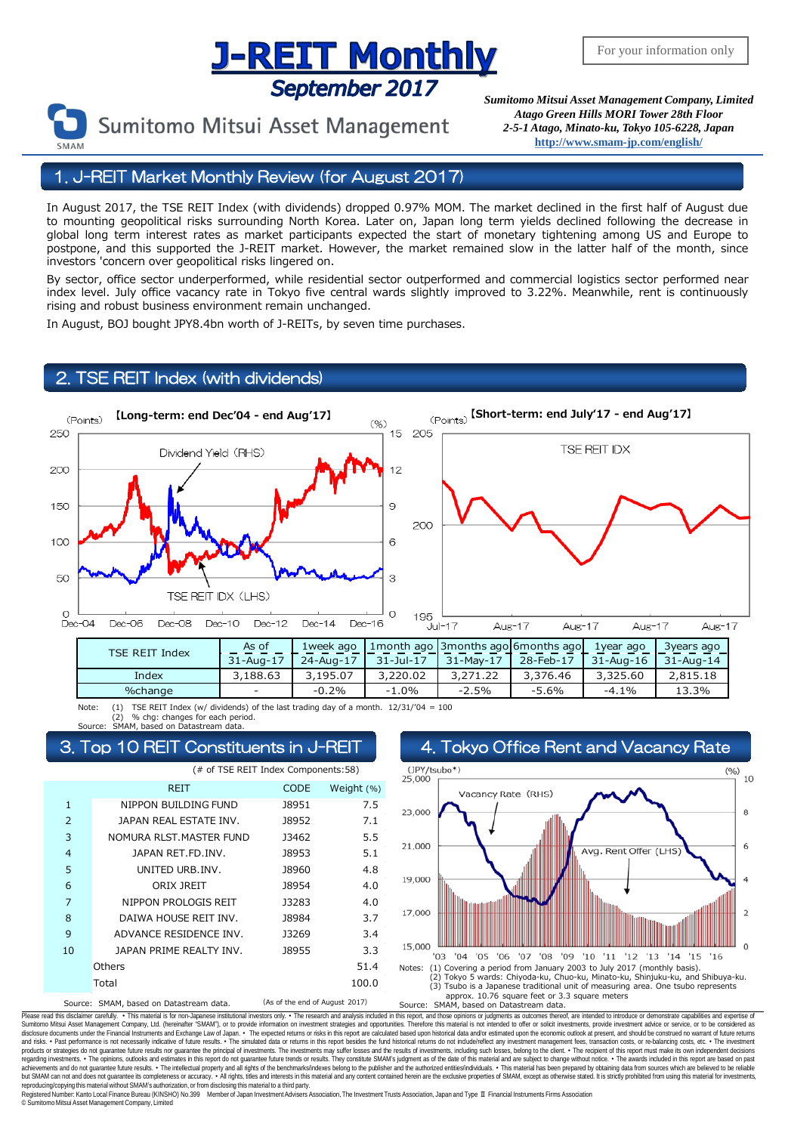# **J-REIT MONTHLY**<br>*September 2017 Sumitomo Mitsui Asset Management Company, Limited*

Sumitomo Mitsui Asset Management

*Atago Green Hills MORI Tower 28th Floor 2-5-1 Atago, Minato-ku, Tokyo 105-6228, Japan* **<http://www.smam-jp.com/english/>**

1. J-REIT Market Monthly Review (for August 2017)

In August 2017, the TSE REIT Index (with dividends) dropped 0.97% MOM. The market declined in the first half of August due to mounting geopolitical risks surrounding North Korea. Later on, Japan long term yields declined following the decrease in global long term interest rates as market participants expected the start of monetary tightening among US and Europe to postpone, and this supported the J-REIT market. However, the market remained slow in the latter half of the month, since investors 'concern over geopolitical risks lingered on.

By sector, office sector underperformed, while residential sector outperformed and commercial logistics sector performed near index level. July office vacancy rate in Tokyo five central wards slightly improved to 3.22%. Meanwhile, rent is continuously rising and robust business environment remain unchanged.

In August, BOJ bought JPY8.4bn worth of J-REITs, by seven time purchases.

### **TSE REIT Index (with dividends)**



Note: (1) TSE REIT Index (w/ dividends) of the last trading day of a month.  $12/31/704 = 100$ % chg: changes for each period. based on Datastream d





Please read this disclaimer carefuly. • This material is for non-Japanese institutional investors only. • The research and analysis included in this report, and those opinions or judgments as outcomes thereof, are intended disclosure documents under the Financial Instuments and Exchange Law of Japan. • The expected relums or risks in this report are calculated based upon historical data and/or estimated upon the economic outlook at present, regarding investments. • The opinions, outlooks and estimates in this report do not guarantee future trends or results. They constitute SMAM's judgment as of the date of this material and are subject to change without noti reproducing/copying this material without SMAM's authorization, or from disclosing this material to a third party

egistered Number: Kanto Local Finance Bureau (KINSHO) No.399 Member of Japan Investment Advisers Association, The Investment Trusts Association, Japan and Type Ⅱ Financial Instruments Firms Association © SumitomoMitsui Asset Management Company, Limited